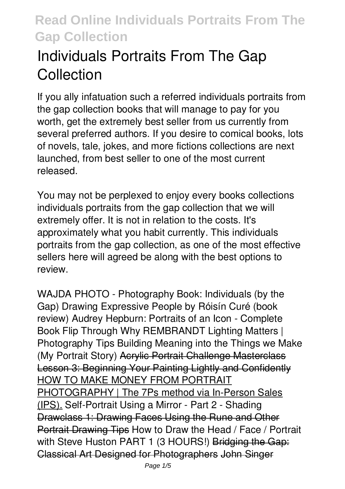# **Individuals Portraits From The Gap Collection**

If you ally infatuation such a referred **individuals portraits from the gap collection** books that will manage to pay for you worth, get the extremely best seller from us currently from several preferred authors. If you desire to comical books, lots of novels, tale, jokes, and more fictions collections are next launched, from best seller to one of the most current released.

You may not be perplexed to enjoy every books collections individuals portraits from the gap collection that we will extremely offer. It is not in relation to the costs. It's approximately what you habit currently. This individuals portraits from the gap collection, as one of the most effective sellers here will agreed be along with the best options to review.

*WAJDA PHOTO - Photography Book: Individuals (by the Gap) Drawing Expressive People by Róisín Curé (book review) Audrey Hepburn: Portraits of an Icon - Complete Book Flip Through Why REMBRANDT Lighting Matters | Photography Tips* Building Meaning into the Things we Make (My Portrait Story) Acrylic Portrait Challenge Masterclass Lesson 3: Beginning Your Painting Lightly and Confidently HOW TO MAKE MONEY FROM PORTRAIT PHOTOGRAPHY | The 7Ps method via In-Person Sales (IPS). *Self-Portrait Using a Mirror - Part 2 - Shading* Drawclass 1: Drawing Faces Using the Rune and Other Portrait Drawing Tips How to Draw the Head / Face / Portrait with Steve Huston PART 1 (3 HOURS!) Bridging the Gap: Classical Art Designed for Photographers John Singer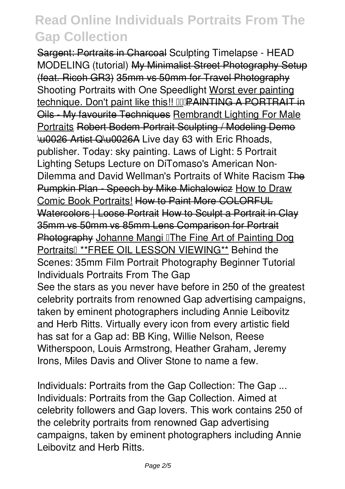Sargent: Portraits in Charcoal **Sculpting Timelapse - HEAD MODELING (tutorial)** My Minimalist Street Photography Setup (feat. Ricoh GR3) 35mm vs 50mm for Travel Photography *Shooting Portraits with One Speedlight* Worst ever painting technique. Don't paint like this!! DDPAINTING A PORTRAIT in Oils - My favourite Techniques Rembrandt Lighting For Male Portraits Robert Bodem Portrait Sculpting / Modeling Demo \u0026 Artist Q\u0026A **Live day 63 with Eric Rhoads, publisher. Today: sky painting.** Laws of Light: 5 Portrait Lighting Setups Lecture on DiTomaso's American Non-Dilemma and David Wellman's Portraits of White Racism The Pumpkin Plan - Speech by Mike Michalowicz How to Draw Comic Book Portraits! How to Paint More COLORFUL Watercolors | Loose Portrait How to Sculpt a Portrait in Clay 35mm vs 50mm vs 85mm Lens Comparison for Portrait Photography Johanne Mangi IThe Fine Art of Painting Dog Portraits" \*\*FREE OIL LESSON VIEWING\*\* *Behind the Scenes: 35mm Film Portrait Photography Beginner Tutorial Individuals Portraits From The Gap* See the stars as you never have before in 250 of the greatest celebrity portraits from renowned Gap advertising campaigns, taken by eminent photographers including Annie Leibovitz and Herb Ritts. Virtually every icon from every artistic field has sat for a Gap ad: BB King, Willie Nelson, Reese Witherspoon, Louis Armstrong, Heather Graham, Jeremy Irons, Miles Davis and Oliver Stone to name a few.

*Individuals: Portraits from the Gap Collection: The Gap ...* Individuals: Portraits from the Gap Collection. Aimed at celebrity followers and Gap lovers. This work contains 250 of the celebrity portraits from renowned Gap advertising campaigns, taken by eminent photographers including Annie Leibovitz and Herb Ritts.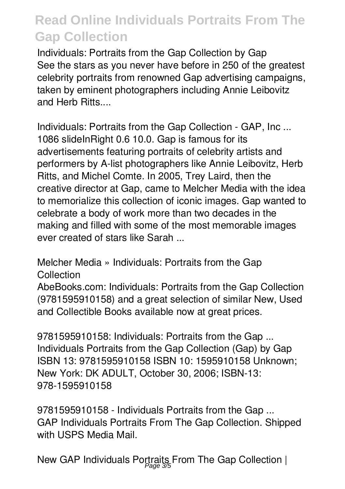*Individuals: Portraits from the Gap Collection by Gap* See the stars as you never have before in 250 of the greatest celebrity portraits from renowned Gap advertising campaigns, taken by eminent photographers including Annie Leibovitz and Herb Ritts....

*Individuals: Portraits from the Gap Collection - GAP, Inc ...* 1086 slideInRight 0.6 10.0. Gap is famous for its advertisements featuring portraits of celebrity artists and performers by A-list photographers like Annie Leibovitz, Herb Ritts, and Michel Comte. In 2005, Trey Laird, then the creative director at Gap, came to Melcher Media with the idea to memorialize this collection of iconic images. Gap wanted to celebrate a body of work more than two decades in the making and filled with some of the most memorable images ever created of stars like Sarah ...

*Melcher Media » Individuals: Portraits from the Gap Collection*

AbeBooks.com: Individuals: Portraits from the Gap Collection (9781595910158) and a great selection of similar New, Used and Collectible Books available now at great prices.

*9781595910158: Individuals: Portraits from the Gap ...* Individuals Portraits from the Gap Collection (Gap) by Gap ISBN 13: 9781595910158 ISBN 10: 1595910158 Unknown; New York: DK ADULT, October 30, 2006; ISBN-13: 978-1595910158

*9781595910158 - Individuals Portraits from the Gap ...* GAP Individuals Portraits From The Gap Collection. Shipped with USPS Media Mail.

*New GAP Individuals Portraits From The Gap Collection |* Page 3/5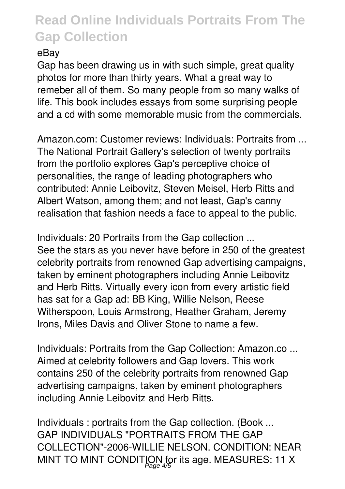#### *eBay*

Gap has been drawing us in with such simple, great quality photos for more than thirty years. What a great way to remeber all of them. So many people from so many walks of life. This book includes essays from some surprising people and a cd with some memorable music from the commercials.

*Amazon.com: Customer reviews: Individuals: Portraits from ...* The National Portrait Gallery's selection of twenty portraits from the portfolio explores Gap's perceptive choice of personalities, the range of leading photographers who contributed: Annie Leibovitz, Steven Meisel, Herb Ritts and Albert Watson, among them; and not least, Gap's canny realisation that fashion needs a face to appeal to the public.

*Individuals: 20 Portraits from the Gap collection ...* See the stars as you never have before in 250 of the greatest celebrity portraits from renowned Gap advertising campaigns, taken by eminent photographers including Annie Leibovitz and Herb Ritts. Virtually every icon from every artistic field has sat for a Gap ad: BB King, Willie Nelson, Reese Witherspoon, Louis Armstrong, Heather Graham, Jeremy Irons, Miles Davis and Oliver Stone to name a few.

*Individuals: Portraits from the Gap Collection: Amazon.co ...* Aimed at celebrity followers and Gap lovers. This work contains 250 of the celebrity portraits from renowned Gap advertising campaigns, taken by eminent photographers including Annie Leibovitz and Herb Ritts.

*Individuals : portraits from the Gap collection. (Book ...* GAP INDIVIDUALS "PORTRAITS FROM THE GAP COLLECTION"-2006-WILLIE NELSON. CONDITION: NEAR MINT TO MINT CONDITION for its age. MEASURES: 11 X